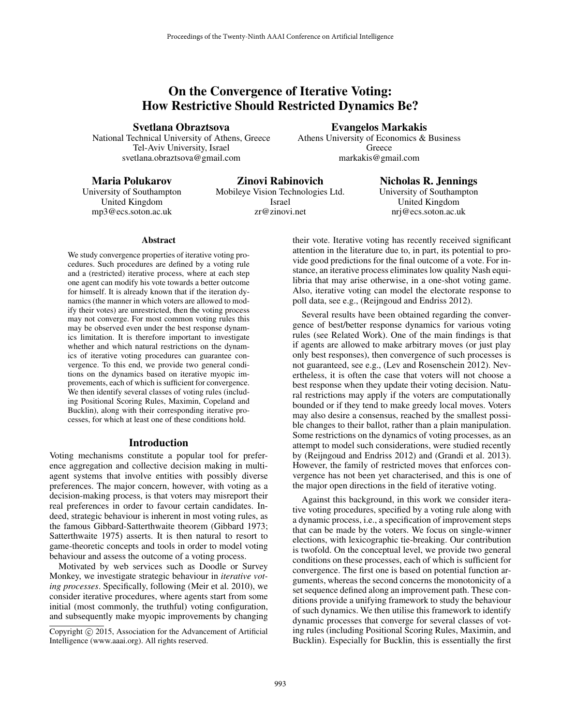# On the Convergence of Iterative Voting: How Restrictive Should Restricted Dynamics Be?

Svetlana Obraztsova

National Technical University of Athens, Greece Tel-Aviv University, Israel svetlana.obraztsova@gmail.com

Evangelos Markakis Athens University of Economics & Business Greece markakis@gmail.com

### Maria Polukarov

University of Southampton United Kingdom mp3@ecs.soton.ac.uk

Zinovi Rabinovich Mobileye Vision Technologies Ltd. Israel zr@zinovi.net

Nicholas R. Jennings University of Southampton United Kingdom nrj@ecs.soton.ac.uk

#### **Abstract**

We study convergence properties of iterative voting procedures. Such procedures are defined by a voting rule and a (restricted) iterative process, where at each step one agent can modify his vote towards a better outcome for himself. It is already known that if the iteration dynamics (the manner in which voters are allowed to modify their votes) are unrestricted, then the voting process may not converge. For most common voting rules this may be observed even under the best response dynamics limitation. It is therefore important to investigate whether and which natural restrictions on the dynamics of iterative voting procedures can guarantee convergence. To this end, we provide two general conditions on the dynamics based on iterative myopic improvements, each of which is sufficient for convergence. We then identify several classes of voting rules (including Positional Scoring Rules, Maximin, Copeland and Bucklin), along with their corresponding iterative processes, for which at least one of these conditions hold.

#### Introduction

Voting mechanisms constitute a popular tool for preference aggregation and collective decision making in multiagent systems that involve entities with possibly diverse preferences. The major concern, however, with voting as a decision-making process, is that voters may misreport their real preferences in order to favour certain candidates. Indeed, strategic behaviour is inherent in most voting rules, as the famous Gibbard-Satterthwaite theorem (Gibbard 1973; Satterthwaite 1975) asserts. It is then natural to resort to game-theoretic concepts and tools in order to model voting behaviour and assess the outcome of a voting process.

Motivated by web services such as Doodle or Survey Monkey, we investigate strategic behaviour in *iterative voting processes*. Specifically, following (Meir et al. 2010), we consider iterative procedures, where agents start from some initial (most commonly, the truthful) voting configuration, and subsequently make myopic improvements by changing

their vote. Iterative voting has recently received significant attention in the literature due to, in part, its potential to provide good predictions for the final outcome of a vote. For instance, an iterative process eliminates low quality Nash equilibria that may arise otherwise, in a one-shot voting game. Also, iterative voting can model the electorate response to poll data, see e.g., (Reijngoud and Endriss 2012).

Several results have been obtained regarding the convergence of best/better response dynamics for various voting rules (see Related Work). One of the main findings is that if agents are allowed to make arbitrary moves (or just play only best responses), then convergence of such processes is not guaranteed, see e.g., (Lev and Rosenschein 2012). Nevertheless, it is often the case that voters will not choose a best response when they update their voting decision. Natural restrictions may apply if the voters are computationally bounded or if they tend to make greedy local moves. Voters may also desire a consensus, reached by the smallest possible changes to their ballot, rather than a plain manipulation. Some restrictions on the dynamics of voting processes, as an attempt to model such considerations, were studied recently by (Reijngoud and Endriss 2012) and (Grandi et al. 2013). However, the family of restricted moves that enforces convergence has not been yet characterised, and this is one of the major open directions in the field of iterative voting.

Against this background, in this work we consider iterative voting procedures, specified by a voting rule along with a dynamic process, i.e., a specification of improvement steps that can be made by the voters. We focus on single-winner elections, with lexicographic tie-breaking. Our contribution is twofold. On the conceptual level, we provide two general conditions on these processes, each of which is sufficient for convergence. The first one is based on potential function arguments, whereas the second concerns the monotonicity of a set sequence defined along an improvement path. These conditions provide a unifying framework to study the behaviour of such dynamics. We then utilise this framework to identify dynamic processes that converge for several classes of voting rules (including Positional Scoring Rules, Maximin, and Bucklin). Especially for Bucklin, this is essentially the first

Copyright (c) 2015, Association for the Advancement of Artificial Intelligence (www.aaai.org). All rights reserved.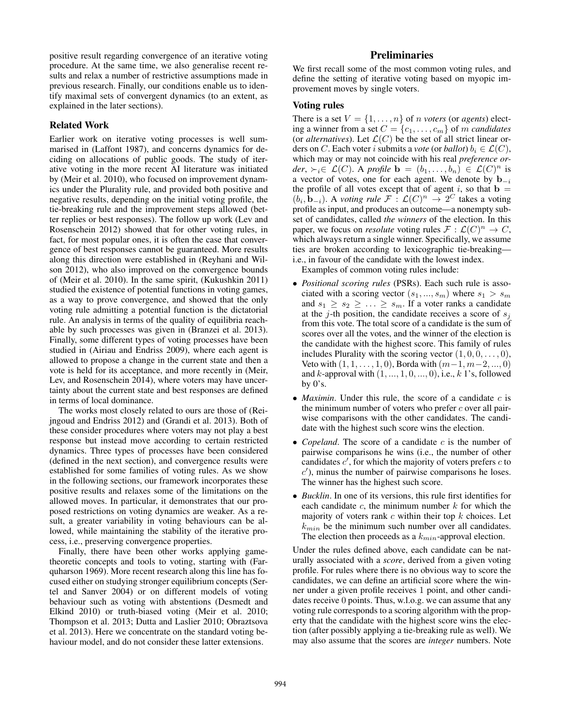positive result regarding convergence of an iterative voting procedure. At the same time, we also generalise recent results and relax a number of restrictive assumptions made in previous research. Finally, our conditions enable us to identify maximal sets of convergent dynamics (to an extent, as explained in the later sections).

#### Related Work

Earlier work on iterative voting processes is well summarised in (Laffont 1987), and concerns dynamics for deciding on allocations of public goods. The study of iterative voting in the more recent AI literature was initiated by (Meir et al. 2010), who focused on improvement dynamics under the Plurality rule, and provided both positive and negative results, depending on the initial voting profile, the tie-breaking rule and the improvement steps allowed (better replies or best responses). The follow up work (Lev and Rosenschein 2012) showed that for other voting rules, in fact, for most popular ones, it is often the case that convergence of best responses cannot be guaranteed. More results along this direction were established in (Reyhani and Wilson 2012), who also improved on the convergence bounds of (Meir et al. 2010). In the same spirit, (Kukushkin 2011) studied the existence of potential functions in voting games, as a way to prove convergence, and showed that the only voting rule admitting a potential function is the dictatorial rule. An analysis in terms of the quality of equilibria reachable by such processes was given in (Branzei et al. 2013). Finally, some different types of voting processes have been studied in (Airiau and Endriss 2009), where each agent is allowed to propose a change in the current state and then a vote is held for its acceptance, and more recently in (Meir, Lev, and Rosenschein 2014), where voters may have uncertainty about the current state and best responses are defined in terms of local dominance.

The works most closely related to ours are those of (Reijngoud and Endriss 2012) and (Grandi et al. 2013). Both of these consider procedures where voters may not play a best response but instead move according to certain restricted dynamics. Three types of processes have been considered (defined in the next section), and convergence results were established for some families of voting rules. As we show in the following sections, our framework incorporates these positive results and relaxes some of the limitations on the allowed moves. In particular, it demonstrates that our proposed restrictions on voting dynamics are weaker. As a result, a greater variability in voting behaviours can be allowed, while maintaining the stability of the iterative process, i.e., preserving convergence properties.

Finally, there have been other works applying gametheoretic concepts and tools to voting, starting with (Farquharson 1969). More recent research along this line has focused either on studying stronger equilibrium concepts (Sertel and Sanver 2004) or on different models of voting behaviour such as voting with abstentions (Desmedt and Elkind 2010) or truth-biased voting (Meir et al. 2010; Thompson et al. 2013; Dutta and Laslier 2010; Obraztsova et al. 2013). Here we concentrate on the standard voting behaviour model, and do not consider these latter extensions.

# **Preliminaries**

We first recall some of the most common voting rules, and define the setting of iterative voting based on myopic improvement moves by single voters.

# Voting rules

There is a set  $V = \{1, \ldots, n\}$  of *n voters* (or *agents*) electing a winner from a set  $C = \{c_1, \ldots, c_m\}$  of m *candidates* (or *alternatives*). Let  $\mathcal{L}(C)$  be the set of all strict linear orders on C. Each voter i submits a *vote* (or *ballot*)  $b_i \in \mathcal{L}(C)$ , which may or may not coincide with his real *preference order*,  $\succ_i \in \mathcal{L}(C)$ . A *profile*  $\mathbf{b} = (b_1, \ldots, b_n) \in \mathcal{L}(C)^n$  is a vector of votes, one for each agent. We denote by  $\mathbf{b}_{-i}$ the profile of all votes except that of agent i, so that  $\mathbf{b} =$  $(b_i, \mathbf{b}_{-i})$ . A *voting rule*  $\mathcal{F}: \mathcal{L}(C)^n \to 2^C$  takes a voting profile as input, and produces an outcome—a nonempty subset of candidates, called *the winners* of the election. In this paper, we focus on *resolute* voting rules  $\mathcal{F}: \mathcal{L}(C)^n \to C$ , which always return a single winner. Specifically, we assume ties are broken according to lexicographic tie-breaking i.e., in favour of the candidate with the lowest index.

Examples of common voting rules include:

- *Positional scoring rules* (PSRs). Each such rule is associated with a scoring vector  $(s_1, ..., s_m)$  where  $s_1 > s_m$ and  $s_1 \geq s_2 \geq \ldots \geq s_m$ . If a voter ranks a candidate at the *j*-th position, the candidate receives a score of  $s_i$ from this vote. The total score of a candidate is the sum of scores over all the votes, and the winner of the election is the candidate with the highest score. This family of rules includes Plurality with the scoring vector  $(1, 0, 0, \ldots, 0)$ , Veto with  $(1, 1, \ldots, 1, 0)$ , Borda with  $(m-1, m-2, \ldots, 0)$ and  $k$ -approval with  $(1, \ldots, 1, 0, \ldots, 0)$ , i.e.,  $k$  1's, followed by  $0's$ .
- *Maximin*. Under this rule, the score of a candidate c is the minimum number of voters who prefer  $c$  over all pairwise comparisons with the other candidates. The candidate with the highest such score wins the election.
- *Copeland*. The score of a candidate c is the number of pairwise comparisons he wins (i.e., the number of other candidates  $c'$ , for which the majority of voters prefers  $c$  to  $c'$ ), minus the number of pairwise comparisons he loses. The winner has the highest such score.
- *Bucklin*. In one of its versions, this rule first identifies for each candidate  $c$ , the minimum number  $k$  for which the majority of voters rank  $c$  within their top  $k$  choices. Let  $k_{min}$  be the minimum such number over all candidates. The election then proceeds as a  $k_{min}$ -approval election.

Under the rules defined above, each candidate can be naturally associated with a *score*, derived from a given voting profile. For rules where there is no obvious way to score the candidates, we can define an artificial score where the winner under a given profile receives 1 point, and other candidates receive 0 points. Thus, w.l.o.g. we can assume that any voting rule corresponds to a scoring algorithm with the property that the candidate with the highest score wins the election (after possibly applying a tie-breaking rule as well). We may also assume that the scores are *integer* numbers. Note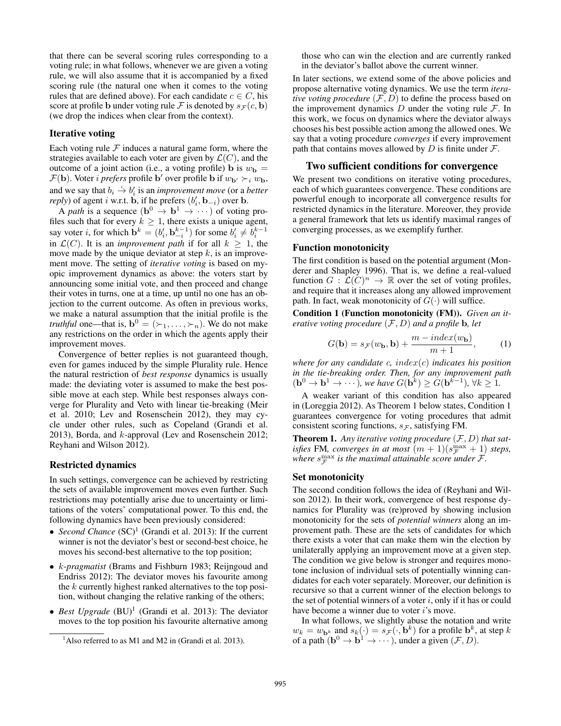that there can be several scoring rules corresponding to a voting rule; in what follows, whenever we are given a voting rule, we will also assume that it is accompanied by a fixed scoring rule (the natural one when it comes to the voting rules that are defined above). For each candidate  $c \in C$ , his score at profile b under voting rule F is denoted by  $s_F(c, b)$ (we drop the indices when clear from the context).

#### Iterative voting

Each voting rule  $F$  induces a natural game form, where the strategies available to each voter are given by  $\mathcal{L}(C)$ , and the outcome of a joint action (i.e., a voting profile) b is  $w_{\mathbf{b}} =$  $\mathcal{F}(\mathbf{b})$ . Voter *i prefers* profile b' over profile b if  $w_{\mathbf{b'}} \succ_i w_{\mathbf{b}}$ , and we say that  $b_i \stackrel{i}{\rightarrow} b'_i$  is an *improvement move* (or a *better reply*) of agent *i* w.r.t. **b**, if he prefers  $(b'_i, \mathbf{b}_{-i})$  over **b**.

A *path* is a sequence  $(\mathbf{b}^0 \to \mathbf{b}^1 \to \cdots)$  of voting profiles such that for every  $k \geq 1$ , there exists a unique agent, say voter *i*, for which  $\mathbf{b}^k = (b'_i, \mathbf{b}_{-i}^{k-1})$  for some  $b'_i \neq b_i^{k-1}$ in  $\mathcal{L}(C)$ . It is an *improvement path* if for all  $k \geq 1$ , the move made by the unique deviator at step  $k$ , is an improvement move. The setting of *iterative voting* is based on myopic improvement dynamics as above: the voters start by announcing some initial vote, and then proceed and change their votes in turns, one at a time, up until no one has an objection to the current outcome. As often in previous works, we make a natural assumption that the initial profile is the *truthful* one—that is,  $\mathbf{b}^0 = (\succ_1, \ldots, \succ_n)$ . We do not make any restrictions on the order in which the agents apply their improvement moves.

Convergence of better replies is not guaranteed though, even for games induced by the simple Plurality rule. Hence the natural restriction of *best response* dynamics is usually made: the deviating voter is assumed to make the best possible move at each step. While best responses always converge for Plurality and Veto with linear tie-breaking (Meir et al. 2010; Lev and Rosenschein 2012), they may cycle under other rules, such as Copeland (Grandi et al. 2013), Borda, and k-approval (Lev and Rosenschein 2012; Reyhani and Wilson 2012).

#### Restricted dynamics

In such settings, convergence can be achieved by restricting the sets of available improvement moves even further. Such restrictions may potentially arise due to uncertainty or limitations of the voters' computational power. To this end, the following dynamics have been previously considered:

- *Second Chance* (SC)<sup>1</sup> (Grandi et al. 2013): If the current winner is not the deviator's best or second-best choice, he moves his second-best alternative to the top position;
- k*-pragmatist* (Brams and Fishburn 1983; Reijngoud and Endriss 2012): The deviator moves his favourite among the k currently highest ranked alternatives to the top position, without changing the relative ranking of the others;
- *Best Upgrade* (BU)<sup>1</sup> (Grandi et al. 2013): The deviator moves to the top position his favourite alternative among

those who can win the election and are currently ranked in the deviator's ballot above the current winner.

In later sections, we extend some of the above policies and propose alternative voting dynamics. We use the term *iterative voting procedure*  $(F, D)$  to define the process based on the improvement dynamics  $D$  under the voting rule  $\mathcal{F}$ . In this work, we focus on dynamics where the deviator always chooses his best possible action among the allowed ones. We say that a voting procedure *converges* if every improvement path that contains moves allowed by  $D$  is finite under  $\mathcal{F}$ .

#### Two sufficient conditions for convergence

We present two conditions on iterative voting procedures, each of which guarantees convergence. These conditions are powerful enough to incorporate all convergence results for restricted dynamics in the literature. Moreover, they provide a general framework that lets us identify maximal ranges of converging processes, as we exemplify further.

#### Function monotonicity

The first condition is based on the potential argument (Monderer and Shapley 1996). That is, we define a real-valued function  $G: \mathcal{L}(C)^n \to \mathbb{R}$  over the set of voting profiles, and require that it increases along any allowed improvement path. In fact, weak monotonicity of  $G(\cdot)$  will suffice.

Condition 1 (Function monotonicity (FM)). *Given an iterative voting procedure* (F, D) *and a profile* b*, let*

$$
G(\mathbf{b}) = s_{\mathcal{F}}(w_{\mathbf{b}}, \mathbf{b}) + \frac{m - index(w_{\mathbf{b}})}{m + 1},
$$
 (1)

*where for any candidate* c*,* index(c) *indicates his position in the tie-breaking order. Then, for any improvement path*  $(b^0 \rightarrow b^1 \rightarrow \cdots)$ , we have  $G(b^k) \geq G(b^{k-1})$ ,  $\forall k \geq 1$ .

A weaker variant of this condition has also appeared in (Loreggia 2012). As Theorem 1 below states, Condition 1 guarantees convergence for voting procedures that admit consistent scoring functions,  $s_{\mathcal{F}}$ , satisfying FM.

**Theorem 1.** Any iterative voting procedure  $(F, D)$  that sat*isfies* FM, converges in at most  $(m + 1)(s_F^{\max} + 1)$  steps, where  $s_F^{\text{max}}$  is the maximal attainable score under  $\mathcal{F}$ .

#### Set monotonicity

The second condition follows the idea of (Reyhani and Wilson 2012). In their work, convergence of best response dynamics for Plurality was (re)proved by showing inclusion monotonicity for the sets of *potential winners* along an improvement path. These are the sets of candidates for which there exists a voter that can make them win the election by unilaterally applying an improvement move at a given step. The condition we give below is stronger and requires monotone inclusion of individual sets of potentially winning candidates for each voter separately. Moreover, our definition is recursive so that a current winner of the election belongs to the set of potential winners of a voter  $i$ , only if it has or could have become a winner due to voter  $i$ 's move.

In what follows, we slightly abuse the notation and write  $w_k = w_{\mathbf{b}^k}$  and  $s_k(\cdot) = s_{\mathcal{F}}(\cdot, \mathbf{b}^k)$  for a profile  $\mathbf{b}^k$ , at step k of a path  $({\bf b}^0 \to {\bf b}^1 \to \cdots)$ , under a given  $(\mathcal{F}, D)$ .

 $<sup>1</sup>$ Also referred to as M1 and M2 in (Grandi et al. 2013).</sup>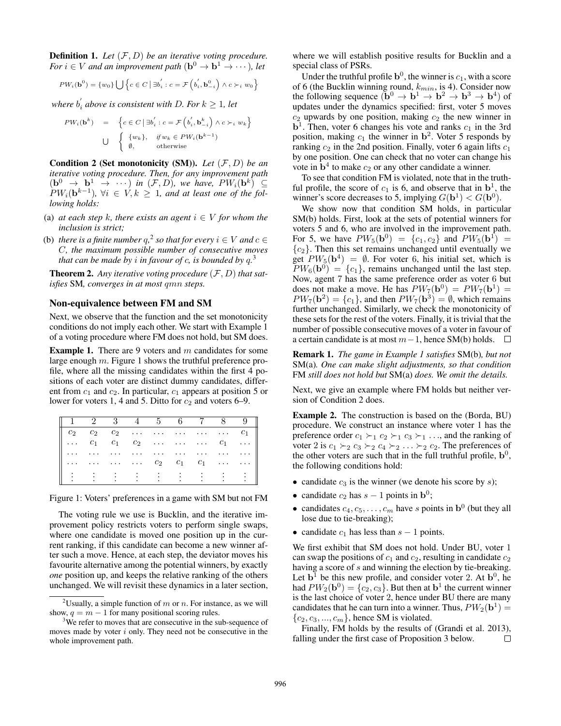Definition 1. *Let* (F, D) *be an iterative voting procedure. For*  $i \in V$  *and an improvement path*  $(\mathbf{b}^0 \to \mathbf{b}^1 \to \cdots)$ *, let* 

$$
PW_i(\mathbf{b}^0) = \{w_0\} \bigcup \left\{c \in C \mid \exists b_i' : c = \mathcal{F}\left(b_i', \mathbf{b}_{-i}^0\right) \land c \succ_i w_0\right\}
$$

where  $b_i^{'}$  above is consistent with D. For  $k \geq 1$ , let

$$
PW_i(\mathbf{b}^k) = \left\{ c \in C \mid \exists b_i' : c = \mathcal{F}\left(b_i', \mathbf{b}_{-i}^k\right) \land c \succ_i w_k \right\}
$$
  

$$
\bigcup \left\{ \begin{array}{ll} \{w_k\}, & \text{if } w_k \in PW_i(\mathbf{b}^{k-1}) \\ \emptyset, & \text{otherwise} \end{array} \right.
$$

Condition 2 (Set monotonicity (SM)). *Let* (F, D) *be an iterative voting procedure. Then, for any improvement path*  $(\mathbf{b}^0 \to \mathbf{b}^1 \to \cdots)$  in  $(\mathcal{F}, D)$ , we have,  $PW_i(\mathbf{b}^k) \subseteq$  $PW_i(\mathbf{b}^{k-1})$ ,  $\forall i \in V, k \geq 1$ , and at least one of the fol*lowing holds:*

- (a) *at each step* k*, there exists an agent*  $i \in V$  *for whom the inclusion is strict;*
- (b) *there is a finite number*  $q$ ,<sup>2</sup> so that for every  $i \in V$  and  $c \in V$ C*, the maximum possible number of consecutive moves that can be made by* i *in favour of* c*, is bounded by* q*.* 3

Theorem 2. *Any iterative voting procedure* (F, D) *that satisfies* SM*, converges in at most* qmn *steps.*

#### Non-equivalence between FM and SM

Next, we observe that the function and the set monotonicity conditions do not imply each other. We start with Example 1 of a voting procedure where FM does not hold, but SM does.

**Example 1.** There are 9 voters and  $m$  candidates for some large enough m. Figure 1 shows the truthful preference profile, where all the missing candidates within the first 4 positions of each voter are distinct dummy candidates, different from  $c_1$  and  $c_2$ . In particular,  $c_1$  appears at position 5 or lower for voters 1, 4 and 5. Ditto for  $c_2$  and voters 6–9.

|  |  |  | $1 \quad 2 \quad 3 \quad 4 \quad 5 \quad 6 \quad 7 \quad 8 \quad 9$ |  |
|--|--|--|---------------------------------------------------------------------|--|
|  |  |  | $c_2$ $c_2$ $c_2$ $\dots$ $\dots$ $\dots$ $\dots$ $c_1$             |  |
|  |  |  | $\ldots$ $c_1$ $c_1$ $c_2$ $\ldots$ $\ldots$ $c_1$ $\ldots$         |  |
|  |  |  | and there were there were there were the there were                 |  |
|  |  |  | $c_2$ $c_1$ $c_1$                                                   |  |
|  |  |  |                                                                     |  |

Figure 1: Voters' preferences in a game with SM but not FM

The voting rule we use is Bucklin, and the iterative improvement policy restricts voters to perform single swaps, where one candidate is moved one position up in the current ranking, if this candidate can become a new winner after such a move. Hence, at each step, the deviator moves his favourite alternative among the potential winners, by exactly *one* position up, and keeps the relative ranking of the others unchanged. We will revisit these dynamics in a later section,

where we will establish positive results for Bucklin and a special class of PSRs.

Under the truthful profile  $\mathbf{b}^0$ , the winner is  $c_1$ , with a score of 6 (the Bucklin winning round,  $k_{min}$ , is 4). Consider now the following sequence  $(\mathbf{b}^0 \to \mathbf{b}^1 \to \mathbf{b}^2 \to \mathbf{b}^3 \to \mathbf{b}^4)$  of updates under the dynamics specified: first, voter 5 moves  $c_2$  upwards by one position, making  $c_2$  the new winner in  $b<sup>1</sup>$ . Then, voter 6 changes his vote and ranks  $c<sub>1</sub>$  in the 3rd position, making  $c_1$  the winner in  $\mathbf{b}^2$ . Voter 5 responds by ranking  $c_2$  in the 2nd position. Finally, voter 6 again lifts  $c_1$ by one position. One can check that no voter can change his vote in  $\mathbf{b}^4$  to make  $c_2$  or any other candidate a winner.

To see that condition FM is violated, note that in the truthful profile, the score of  $c_1$  is 6, and observe that in  $\mathbf{b}^1$ , the winner's score decreases to 5, implying  $G(\mathbf{b}^1) < G(\mathbf{b}^0)$ .

We show now that condition SM holds, in particular SM(b) holds. First, look at the sets of potential winners for voters 5 and 6, who are involved in the improvement path. For 5, we have  $PW_5(\mathbf{b}^0) = \{c_1, c_2\}$  and  $PW_5(\mathbf{b}^1) =$  ${c_2}$ . Then this set remains unchanged until eventually we get  $PW_5(\mathbf{b}^4) = \emptyset$ . For voter 6, his initial set, which is  $PW_6(\mathbf{b}^0) = \{c_1\}$ , remains unchanged until the last step. Now, agent 7 has the same preference order as voter 6 but does not make a move. He has  $PW_7(\mathbf{b}^0) = PW_7(\mathbf{b}^1) =$  $PW_7(\mathbf{b}^2) = \{c_1\}$ , and then  $PW_7(\mathbf{b}^3) = \emptyset$ , which remains further unchanged. Similarly, we check the monotonicity of these sets for the rest of the voters. Finally, it is trivial that the number of possible consecutive moves of a voter in favour of a certain candidate is at most  $m-1$ , hence SM(b) holds.  $□$ 

Remark 1. *The game in Example 1 satisfies* SM(b)*, but not* SM(a)*. One can make slight adjustments, so that condition* FM *still does not hold but* SM(a) *does. We omit the details.*

Next, we give an example where FM holds but neither version of Condition 2 does.

Example 2. The construction is based on the (Borda, BU) procedure. We construct an instance where voter 1 has the preference order  $c_1 \succ_1 c_2 \succ_1 c_3 \succ_1 \ldots$ , and the ranking of voter 2 is  $c_1 \succ_2 c_3 \succ_2 c_4 \succ_2 \ldots \succ_2 c_2$ . The preferences of the other voters are such that in the full truthful profile,  $\mathbf{b}^0$ , the following conditions hold:

- candidate  $c_3$  is the winner (we denote his score by s);
- candidate  $c_2$  has  $s 1$  points in  $\mathbf{b}^0$ ;
- candidates  $c_4, c_5, \ldots, c_m$  have s points in  $\mathbf{b}^0$  (but they all lose due to tie-breaking);
- candidate  $c_1$  has less than  $s 1$  points.

We first exhibit that SM does not hold. Under BU, voter 1 can swap the positions of  $c_1$  and  $c_2$ , resulting in candidate  $c_2$ having a score of s and winning the election by tie-breaking. Let  $\mathbf{b}^1$  be this new profile, and consider voter 2. At  $\mathbf{b}^0$ , he had  $PW_2(\mathbf{b}^0) = \{c_2, c_3\}$ . But then at  $\mathbf{b}^1$  the current winner is the last choice of voter 2, hence under BU there are many candidates that he can turn into a winner. Thus,  $PW_2(\mathbf{b}^1) =$  ${c_2, c_3, ..., c_m}$ , hence SM is violated.

Finally, FM holds by the results of (Grandi et al. 2013), falling under the first case of Proposition 3 below.  $\Box$ 

<sup>&</sup>lt;sup>2</sup>Usually, a simple function of m or n. For instance, as we will show,  $q = m - 1$  for many positional scoring rules.

<sup>&</sup>lt;sup>3</sup>We refer to moves that are consecutive in the sub-sequence of moves made by voter  $i$  only. They need not be consecutive in the whole improvement path.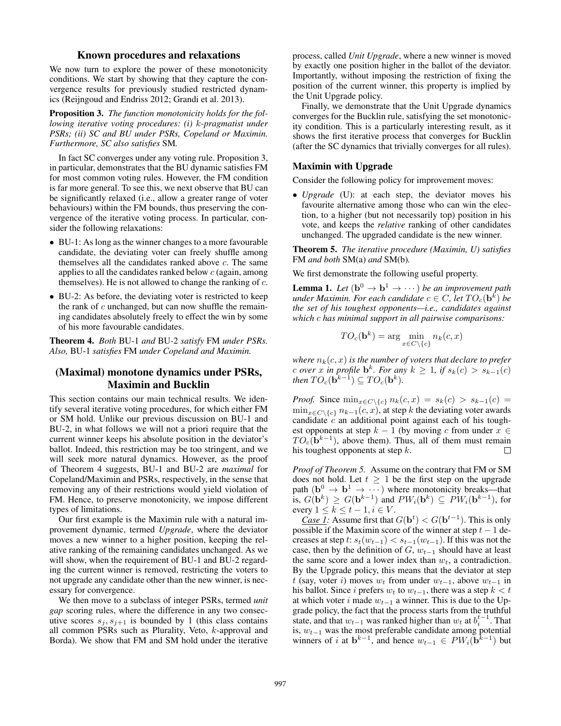## Known procedures and relaxations

We now turn to explore the power of these monotonicity conditions. We start by showing that they capture the convergence results for previously studied restricted dynamics (Reijngoud and Endriss 2012; Grandi et al. 2013).

Proposition 3. *The function monotonicity holds for the following iterative voting procedures: (i)* k*-pragmatist under PSRs; (ii) SC and BU under PSRs, Copeland or Maximin. Furthermore, SC also satisfies* SM*.*

In fact SC converges under any voting rule. Proposition 3, in particular, demonstrates that the BU dynamic satisfies FM for most common voting rules. However, the FM condition is far more general. To see this, we next observe that BU can be significantly relaxed (i.e., allow a greater range of voter behaviours) within the FM bounds, thus preserving the convergence of the iterative voting process. In particular, consider the following relaxations:

- BU-1: As long as the winner changes to a more favourable candidate, the deviating voter can freely shuffle among themselves all the candidates ranked above  $c$ . The same applies to all the candidates ranked below  $c$  (again, among themselves). He is not allowed to change the ranking of  $c$ .
- BU-2: As before, the deviating voter is restricted to keep the rank of  $c$  unchanged, but can now shuffle the remaining candidates absolutely freely to effect the win by some of his more favourable candidates.

Theorem 4. *Both* BU-1 *and* BU-2 *satisfy* FM *under PSRs. Also,* BU-1 *satisfies* FM *under Copeland and Maximin.*

# (Maximal) monotone dynamics under PSRs, Maximin and Bucklin

This section contains our main technical results. We identify several iterative voting procedures, for which either FM or SM hold. Unlike our previous discussion on BU-1 and BU-2, in what follows we will not a priori require that the current winner keeps his absolute position in the deviator's ballot. Indeed, this restriction may be too stringent, and we will seek more natural dynamics. However, as the proof of Theorem 4 suggests, BU-1 and BU-2 are *maximal* for Copeland/Maximin and PSRs, respectively, in the sense that removing any of their restrictions would yield violation of FM. Hence, to preserve monotonicity, we impose different types of limitations.

Our first example is the Maximin rule with a natural improvement dynamic, termed *Upgrade*, where the deviator moves a new winner to a higher position, keeping the relative ranking of the remaining candidates unchanged. As we will show, when the requirement of BU-1 and BU-2 regarding the current winner is removed, restricting the voters to not upgrade any candidate other than the new winner, is necessary for convergence.

We then move to a subclass of integer PSRs, termed *unit gap* scoring rules, where the difference in any two consecutive scores  $s_i, s_{i+1}$  is bounded by 1 (this class contains all common PSRs such as Plurality, Veto, k-approval and Borda). We show that FM and SM hold under the iterative process, called *Unit Upgrade*, where a new winner is moved by exactly one position higher in the ballot of the deviator. Importantly, without imposing the restriction of fixing the position of the current winner, this property is implied by the Unit Upgrade policy.

Finally, we demonstrate that the Unit Upgrade dynamics converges for the Bucklin rule, satisfying the set monotonicity condition. This is a particularly interesting result, as it shows the first iterative process that converges for Bucklin (after the SC dynamics that trivially converges for all rules).

#### Maximin with Upgrade

Consider the following policy for improvement moves:

• *Upgrade* (U): at each step, the deviator moves his favourite alternative among those who can win the election, to a higher (but not necessarily top) position in his vote, and keeps the *relative* ranking of other candidates unchanged. The upgraded candidate is the new winner.

Theorem 5. *The iterative procedure (Maximin, U) satisfies* FM *and both* SM(a) *and* SM(b)*.*

We first demonstrate the following useful property.

**Lemma 1.** Let  $(b^0 \rightarrow b^1 \rightarrow \cdots)$  be an improvement path under Maximin. For each candidate  $c \in C$ , let  $TO_c(\textbf{b}^{\tilde{k}})$  be *the set of his toughest opponents—i.e., candidates against which* c *has minimal support in all pairwise comparisons:*

$$
TO_c(\mathbf{b}^k) = \arg\min_{x \in C \setminus \{c\}} n_k(c, x)
$$

*where*  $n_k(c, x)$  *is the number of voters that declare to prefer c over x* in profile  $\mathbf{b}^k$ *. For any*  $k \geq 1$ *, if*  $s_k(c) > s_{k-1}(c)$ then  $TO_c(\dot{\mathbf{b}}^{k-1}) \subseteq TO_c(\mathbf{b}^k)$ .

*Proof.* Since  $\min_{x \in C \setminus \{c\}} n_k(c, x) = s_k(c) > s_{k-1}(c)$  $\min_{x \in C \setminus \{c\}} n_{k-1}(c, x)$ , at step k the deviating voter awards candidate  $c$  an additional point against each of his toughest opponents at step  $k - 1$  (by moving c from under  $x \in$  $TO<sub>c</sub>(\hat{\mathbf{b}}^{k-1})$ , above them). Thus, all of them must remain his toughest opponents at step  $k$ .  $\Box$ 

*Proof of Theorem 5.* Assume on the contrary that FM or SM does not hold. Let  $t \geq 1$  be the first step on the upgrade path  $({\bf b}^0 \to {\bf b}^1 \to \cdots)$  where monotonicity breaks—that is,  $G(\mathbf{b}^k) \geq G(\mathbf{b}^{k-1})$  and  $PW_i(\mathbf{b}^k) \subseteq PW_i(\mathbf{b}^{k-1})$ , for every  $1 \leq k \leq t-1, i \in V$ .

*Case 1:* Assume first that  $G(\mathbf{b}^t) < G(\mathbf{b}^{t-1})$ . This is only possible if the Maximin score of the winner at step  $t - 1$  decreases at step t:  $s_t(w_{t-1}) < s_{t-1}(w_{t-1})$ . If this was not the case, then by the definition of  $G$ ,  $w_{t-1}$  should have at least the same score and a lower index than  $w_t$ , a contradiction. By the Upgrade policy, this means that the deviator at step t (say, voter i) moves  $w_t$  from under  $w_{t-1}$ , above  $w_{t-1}$  in his ballot. Since i prefers  $w_t$  to  $w_{t-1}$ , there was a step  $k < t$ at which voter i made  $w_{t-1}$  a winner. This is due to the Upgrade policy, the fact that the process starts from the truthful state, and that  $w_{t-1}$  was ranked higher than  $w_t$  at  $b_i^{t-1}$ . That is,  $w_{t-1}$  was the most preferable candidate among potential winners of i at  $\mathbf{b}^{k-1}$ , and hence  $w_{t-1} \in PW_i(\mathbf{b}^{k-1})$  but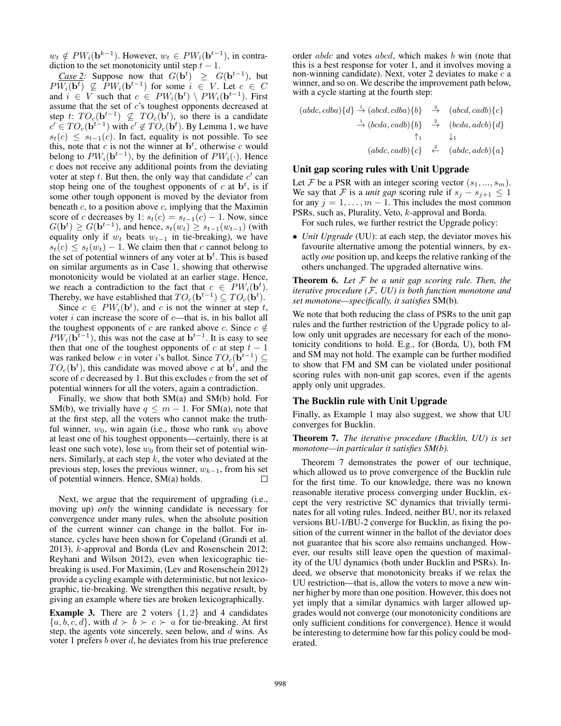$w_t \notin PW_i(\mathbf{b}^{k-1})$ . However,  $w_t \in PW_i(\mathbf{b}^{t-1})$ , in contradiction to the set monotonicity until step  $t - 1$ .

*Case 2:* Suppose now that  $G(\mathbf{b}^t) \geq G(\mathbf{b}^{t-1})$ , but  $PW_i(\mathbf{b}^t) \nsubseteq PW_i(\mathbf{b}^{t-1})$  for some  $i \in V$ . Let  $c \in C$ and  $i \in V$  such that  $c \in PW_i(\mathbf{b}^t) \setminus PW_i(\mathbf{b}^{t-1})$ . First assume that the set of c's toughest opponents decreased at step t:  $TO<sub>c</sub>(**b**<sup>t-1</sup>) \nsubseteq TO<sub>c</sub>(**b**<sup>t</sup>)$ , so there is a candidate  $c' \in TO<sub>c</sub>(**b**<sup>t-1</sup>)$  with  $c' \notin TO<sub>c</sub>(**b**<sup>t</sup>)$ . By Lemma 1, we have  $s_t(c) \leq s_{t-1}(c)$ . In fact, equality is not possible. To see this, note that  $c$  is not the winner at  $\mathbf{b}^t$ , otherwise  $c$  would belong to  $PW_i(\mathbf{b}^{t-1})$ , by the definition of  $PW_i(\cdot)$ . Hence c does not receive any additional points from the deviating voter at step  $t$ . But then, the only way that candidate  $c'$  can stop being one of the toughest opponents of  $c$  at  $\mathbf{b}^t$ , is if some other tough opponent is moved by the deviator from beneath  $c$ , to a position above  $c$ , implying that the Maximin score of c decreases by 1:  $s_t(c) = s_{t-1}(c) - 1$ . Now, since  $G(\mathbf{b}^{t}) \geq G(\mathbf{b}^{t-1})$ , and hence,  $s_t(w_t) \geq s_{t-1}(w_{t-1})$  (with equality only if  $w_t$  beats  $w_{t-1}$  in tie-breaking), we have  $s_t(c) \leq s_t(w_t) - 1$ . We claim then that c cannot belong to the set of potential winners of any voter at  $\mathbf{b}^t$ . This is based on similar arguments as in Case 1, showing that otherwise monotonicity would be violated at an earlier stage. Hence, we reach a contradiction to the fact that  $c \in PW_i(\mathbf{b}^t)$ . Thereby, we have established that  $TO_c(\mathbf{b}^{t-1}) \subseteq TO_c(\mathbf{b}^t)$ .

Since  $c \in PW_i(\mathbf{b}^t)$ , and c is not the winner at step t, voter  $i$  can increase the score of  $c$ —that is, in his ballot all the toughest opponents of c are ranked above c. Since  $c \notin$  $PW_i(\mathbf{b}^{t-1})$ , this was not the case at  $\mathbf{b}^{t-1}$ . It is easy to see then that one of the toughest opponents of c at step  $t - 1$ was ranked below c in voter i's ballot. Since  $TO_c(\dot{b}^{t-1}) \subseteq$  $TO_c(\mathbf{b}^t)$ , this candidate was moved above c at  $\mathbf{b}^t$ , and the score of  $c$  decreased by 1. But this excludes  $c$  from the set of potential winners for all the voters, again a contradiction.

Finally, we show that both SM(a) and SM(b) hold. For SM(b), we trivially have  $q \leq m - 1$ . For SM(a), note that at the first step, all the voters who cannot make the truthful winner,  $w_0$ , win again (i.e., those who rank  $w_0$  above at least one of his toughest opponents—certainly, there is at least one such vote), lose  $w_0$  from their set of potential winners. Similarly, at each step  $k$ , the voter who deviated at the previous step, loses the previous winner,  $w_{k-1}$ , from his set of potential winners. Hence, SM(a) holds. П

Next, we argue that the requirement of upgrading (i.e., moving up) *only* the winning candidate is necessary for convergence under many rules, when the absolute position of the current winner can change in the ballot. For instance, cycles have been shown for Copeland (Grandi et al. 2013), k-approval and Borda (Lev and Rosenschein 2012; Reyhani and Wilson 2012), even when lexicographic tiebreaking is used. For Maximin, (Lev and Rosenschein 2012) provide a cycling example with deterministic, but not lexicographic, tie-breaking. We strengthen this negative result, by giving an example where ties are broken lexicographically.

**Example 3.** There are 2 voters  $\{1, 2\}$  and 4 candidates  ${a, b, c, d}$ , with  $d \succ b \succ c \succ a$  for tie-breaking. At first step, the agents vote sincerely, seen below, and  $\bar{d}$  wins. As voter 1 prefers  $b$  over  $d$ , he deviates from his true preference order *abdc* and votes *abcd*, which makes *b* win (note that this is a best response for voter 1, and it involves moving a non-winning candidate). Next, voter 2 deviates to make  $c$  a winner, and so on. We describe the improvement path below, with a cycle starting at the fourth step:

$$
(abdc, cdba){d} \xrightarrow{\rightarrow} (abcd, cdba){b} \xrightarrow{\rightarrow} (abcd, cadb){c}
$$
  
\n
$$
\xrightarrow{\rightarrow} (bcda, cadb){b} \xrightarrow{\rightarrow} (bcda, adcb){d}
$$
  
\n
$$
\xrightarrow{\uparrow} 1 \qquad \downarrow_{1}
$$
  
\n
$$
(abdc, cadb){c} \xleftarrow{\rightarrow} (abdc, adcb){a}
$$

#### Unit gap scoring rules with Unit Upgrade

Let F be a PSR with an integer scoring vector  $(s_1, ..., s_m)$ . We say that F is a *unit gap* scoring rule if  $s_i - s_{i+1} \leq 1$ for any  $j = 1, \ldots, m - 1$ . This includes the most common PSRs, such as, Plurality, Veto, k-approval and Borda.

For such rules, we further restrict the Upgrade policy:

• *Unit Upgrade* (UU): at each step, the deviator moves his favourite alternative among the potential winners, by exactly *one* position up, and keeps the relative ranking of the others unchanged. The upgraded alternative wins.

Theorem 6. *Let* F *be a unit gap scoring rule. Then, the iterative procedure (*F*, UU) is both function monotone and set monotone—specifically, it satisfies* SM(b)*.*

We note that both reducing the class of PSRs to the unit gap rules and the further restriction of the Upgrade policy to allow only unit upgrades are necessary for each of the monotonicity conditions to hold. E.g., for (Borda, U), both FM and SM may not hold. The example can be further modified to show that FM and SM can be violated under positional scoring rules with non-unit gap scores, even if the agents apply only unit upgrades.

#### The Bucklin rule with Unit Upgrade

Finally, as Example 1 may also suggest, we show that UU converges for Bucklin.

Theorem 7. *The iterative procedure (Bucklin, UU) is set monotone—in particular it satisfies SM(b).*

Theorem 7 demonstrates the power of our technique, which allowed us to prove convergence of the Bucklin rule for the first time. To our knowledge, there was no known reasonable iterative process converging under Bucklin, except the very restrictive SC dynamics that trivially terminates for all voting rules. Indeed, neither BU, nor its relaxed versions BU-1/BU-2 converge for Bucklin, as fixing the position of the current winner in the ballot of the deviator does not guarantee that his score also remains unchanged. However, our results still leave open the question of maximality of the UU dynamics (both under Bucklin and PSRs). Indeed, we observe that monotonicity breaks if we relax the UU restriction—that is, allow the voters to move a new winner higher by more than one position. However, this does not yet imply that a similar dynamics with larger allowed upgrades would not converge (our monotonicity conditions are only sufficient conditions for convergence). Hence it would be interesting to determine how far this policy could be moderated.